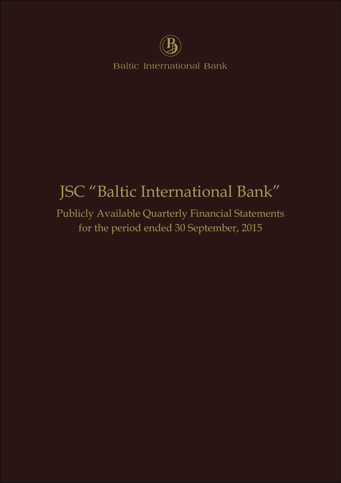

**Baltic International Bank** 

# JSC "Baltic International Bank"

Publicly Available Quarterly Financial Statements for the period ended 30 September, 2015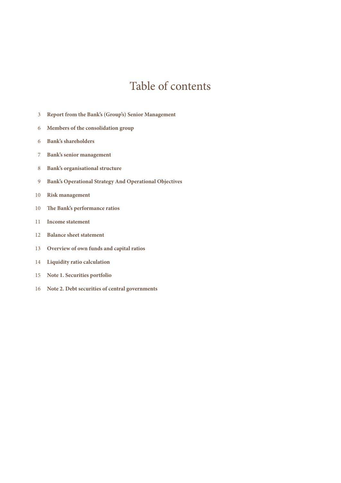### Table of contents

- **Report from the Bank's (Group's) Senior Management**
- **Members of the consolidation group**
- **Bank's shareholders**
- **Bank's senior management**
- **Bank's organisational structure**
- **Bank's Operational Strategy And Operational Objectives**
- **Risk management**
- **The Bank's performance ratios**
- **Income statement**
- **Balance sheet statement**
- **Overview of own funds and capital ratios**
- **Liquidity ratio calculation**
- **Note 1. Securities portfolio**
- **Note 2. Debt securities of central governments**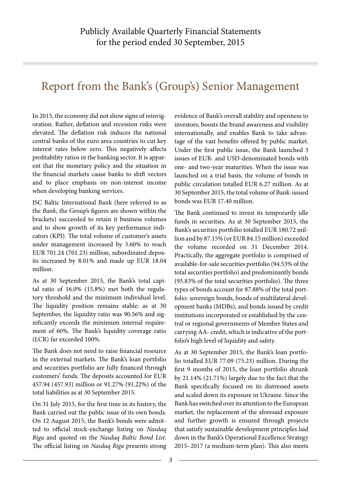### Report from the Bank's (Group's) Senior Management

In 2015, the economy did not show signs of reinvigoration. Rather, deflation and recession risks were elevated. The deflation risk induces the national central banks of the euro area countries to cut key interest rates below zero. This negatively affects profitability ratios in the banking sector. It is apparent that the monetary policy and the situation in the financial markets cause banks to shift vectors and to place emphasis on non-interest income when developing banking services.

JSC Baltic International Bank (here referred to as the *Bank*, the Group's figures are shown within the brackets) succeeded to retain it business volumes and to show growth of its key performance indicators (KPI). The total volume of customer's assets under management increased by 3.60% to reach EUR 701.24 (701.23) million, subordinated deposits increased by 8.01% and made up EUR 18.04 million.

As at 30 September 2015, the Bank's total capital ratio of 16.0% (15.8%) met both the regulatory threshold and the minimum individual level. The liquidity position remains stable; as at 30 September, the liquidity ratio was 90.56% and significantly exceeds the minimum internal requirement of 60%. The Bank's liquidity coverage ratio (LCR) far exceeded 100%.

The Bank does not need to raise financial resource in the external markets. The Bank's loan portfolio and securities portfolio are fully financed through customers' funds. The deposits accounted for EUR 457.94 (457.93) million or 91.27% (91.22%) of the total liabilities as at 30 September 2015.

On 31 July 2015, for the first time in its history, the Bank carried out the public issue of its own bonds. On 12 August 2015, the Bank's bonds were admitted to official stock-exchange listing on *Nasdaq Riga* and quoted on the *Nasdaq Baltic Bond List*. The official listing on *Nasdaq Riga* presents strong

evidence of Bank's overall stability and openness to investors, boosts the brand awareness and visibility internationally, and enables Bank to take advantage of the vast benefits offered by public market. Under the first public issue, the Bank launched 3 issues of EUR- and USD-denominated bonds with one- and two-year maturities. When the issue was launched on a trial basis, the volume of bonds in public circulation totalled EUR 6.27 million. As at 30 September 2015, the total volume of Bank-issued bonds was EUR 17.40 million.

The Bank continued to invest its temporarily idle funds in securities. As at 30 September 2015, the Bank's securities portfolio totalled EUR 180.72 million and by 87.15% (or EUR 84.15 million) exceeded the volume recorded on 31 December 2014. Practically, the aggregate portfolio is comprised of available-for-sale securities portfolio (94.53% of the total securities portfolio) and predominantly bonds (95.83% of the total securities portfolio). The three types of bonds account for 87.88% of the total portfolio: sovereign bonds, bonds of multilateral development banks (MDBs), and bonds issued by credit institutions incorporated or established by the central or regional governments of Member States and carrying AA- credit, which is indicative of the portfolio's high level of liquidity and safety.

As at 30 September 2015, the Bank's loan portfolio totalled EUR 77.09 (75.23) million. During the first 9 months of 2015, the loan portfolio shrunk by 21.14% (21.71%) largely due to the fact that the Bank specifically focused on its distressed assets and scaled down its exposure in Ukraine. Since the Bank has switched over its attention to the European market, the replacement of the aforesaid exposure and further growth is ensured through projects that satisfy sustainable development principles laid down in the Bank's Operational Excellence Strategy 2015–2017 (a medium-term plan). This also meets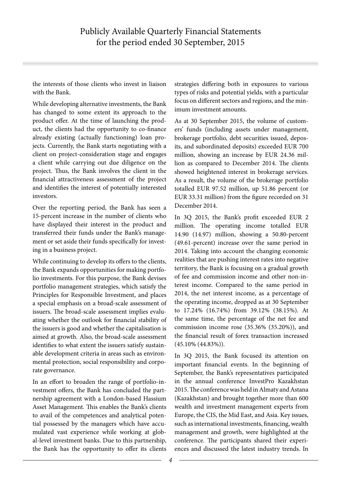the interests of those clients who invest in liaison with the Bank.

While developing alternative investments, the Bank has changed to some extent its approach to the product offer. At the time of launching the product, the clients had the opportunity to co-finance already existing (actually functioning) loan projects. Currently, the Bank starts negotiating with a client on project-consideration stage and engages a client while carrying out due diligence on the project. Thus, the Bank involves the client in the financial attractiveness assessment of the project and identifies the interest of potentially interested investors.

Over the reporting period, the Bank has seen a 15-percent increase in the number of clients who have displayed their interest in the product and transferred their funds under the Bank's management or set aside their funds specifically for investing in a business project.

While continuing to develop its offers to the clients, the Bank expands opportunities for making portfolio investments. For this purpose, the Bank devises portfolio management strategies, which satisfy the Principles for Responsible Investment, and places a special emphasis on a broad-scale assessment of issuers. The broad-scale assessment implies evaluating whether the outlook for financial stability of the issuers is good and whether the capitalisation is aimed at growth. Also, the broad-scale assessment identifies to what extent the issuers satisfy sustainable development criteria in areas such as environmental protection, social responsibility and corporate governance.

In an effort to broaden the range of portfolio-investment offers, the Bank has concluded the partnership agreement with a London-based Hassium Asset Management. This enables the Bank's clients to avail of the competences and analytical potential possessed by the managers which have accumulated vast experience while working at global-level investment banks. Due to this partnership, the Bank has the opportunity to offer its clients

strategies differing both in exposures to various types of risks and potential yields, with a particular focus on different sectors and regions, and the minimum investment amounts.

As at 30 September 2015, the volume of customers' funds (including assets under management, brokerage portfolio, debt securities issued, deposits, and subordinated deposits) exceeded EUR 700 million, showing an increase by EUR 24.36 million as compared to December 2014. The clients showed heightened interest in brokerage services. As a result, the volume of the brokerage portfolio totalled EUR 97.52 million, up 51.86 percent (or EUR 33.31 million) from the figure recorded on 31 December 2014.

In 3Q 2015, the Bank's profit exceeded EUR 2 million. The operating income totalled EUR 14.90 (14.97) million, showing a 50.80-percent (49.61-percent) increase over the same period in 2014. Taking into account the changing economic realities that are pushing interest rates into negative territory, the Bank is focusing on a gradual growth of fee and commission income and other non-interest income. Compared to the same period in 2014, the net interest income, as a percentage of the operating income, dropped as at 30 September to 17.24% (16.74%) from 39.12% (38.15%). At the same time, the percentage of the net fee and commission income rose (35.36% (35.20%)), and the financial result of forex transaction increased (45.10% (44.83%)).

In 3Q 2015, the Bank focused its attention on important financial events. In the beginning of September, the Bank's representatives participated in the annual conference InvestPro Kazakhstan 2015. The conference was held in Almaty and Astana (Kazakhstan) and brought together more than 600 wealth and investment management experts from Europe, the CIS, the Mid East, and Asia. Key issues, such as international investments, financing, wealth management and growth, were highlighted at the conference. The participants shared their experiences and discussed the latest industry trends. In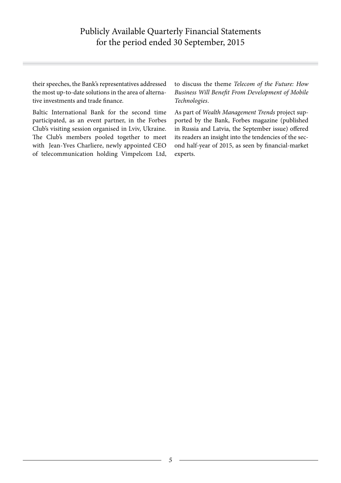their speeches, the Bank's representatives addressed the most up-to-date solutions in the area of alternative investments and trade finance.

Baltic International Bank for the second time participated, as an event partner, in the Forbes Club's visiting session organised in Lviv, Ukraine. The Club's members pooled together to meet with Jean-Yves Charlierе, newly appointed CEO of telecommunication holding Vimpelcom Ltd,

to discuss the theme *Telecom of the Future: How Business Will Benefit From Development of Mobile Technologies*.

As part of *Wealth Management Trends* project supported by the Bank, Forbes magazine (published in Russia and Latvia, the September issue) offered its readers an insight into the tendencies of the second half-year of 2015, as seen by financial-market experts.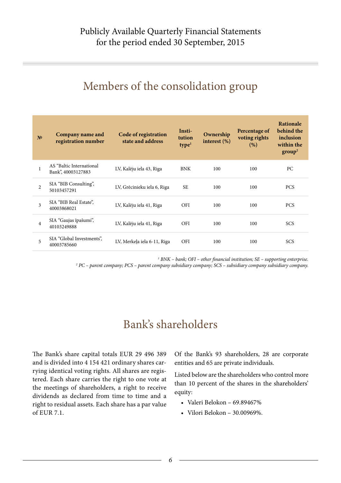### Members of the consolidation group

| N <sup>o</sup> | Company name and<br>registration number        | Code of registration<br>state and address | Insti-<br>tution<br>type <sup>1</sup> | Ownership<br>interest $(\%)$ | Percentage of<br>voting rights<br>(%) | Rationale<br>behind the<br>inclusion<br>within the<br>group <sup>2</sup> |
|----------------|------------------------------------------------|-------------------------------------------|---------------------------------------|------------------------------|---------------------------------------|--------------------------------------------------------------------------|
| $\mathbf{1}$   | AS "Baltic International<br>Bank", 40003127883 | LV, Kalēju iela 43, Riga                  | <b>BNK</b>                            | 100                          | 100                                   | PC                                                                       |
| $\overline{c}$ | SIA "BIB Consulting",<br>50103457291           | LV, Grēcinieku iela 6, Riga               | <b>SE</b>                             | 100                          | 100                                   | <b>PCS</b>                                                               |
| 3              | SIA "BIB Real Estate",<br>40003868021          | LV, Kalēju iela 41, Riga                  | <b>OFI</b>                            | 100                          | 100                                   | <b>PCS</b>                                                               |
| $\overline{4}$ | SIA "Gaujas īpašumi",<br>40103249888           | LV, Kalēju iela 41, Riga                  | <b>OFI</b>                            | 100                          | 100                                   | <b>SCS</b>                                                               |
| 5              | SIA "Global Investments",<br>40003785660       | LV, Merkeļa iela 6-11, Riga               | <b>OFI</b>                            | 100                          | 100                                   | <b>SCS</b>                                                               |

<sup>1</sup> BNK – bank; OFI – other financial institution; SE – supporting enterprise.

*2 PC – parent company; PCS – parent company subsidiary company; SCS – subsidiary company subsidiary company.*

### Bank's shareholders

The Вank's share capital totals EUR 29 496 389 and is divided into 4 154 421 ordinary shares carrying identical voting rights. All shares are registered. Each share carries the right to one vote at the meetings of shareholders, a right to receive dividends as declared from time to time and a right to residual assets. Each share has a par value of EUR 7.1.

Of the Bank's 93 shareholders, 28 are corporate entities and 65 are private individuals.

Listed below are the shareholders who control more than 10 percent of the shares in the shareholders' equity:

- Valeri Belokon 69.89467%
- Vilori Belokon 30.00969%.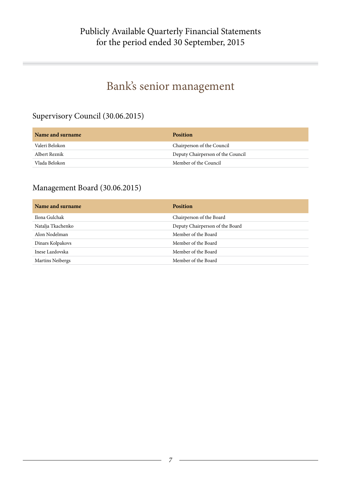### Publicly Available Quarterly Financial Statements for the period ended 30 September, 2015

### Bank's senior management

#### Supervisory Council (30.06.2015)

| Name and surname | <b>Position</b>                   |
|------------------|-----------------------------------|
| Valeri Belokon   | Chairperson of the Council        |
| Albert Reznik    | Deputy Chairperson of the Council |
| Vlada Belokon    | Member of the Council             |

#### Management Board (30.06.2015)

| Name and surname  | <b>Position</b>                 |
|-------------------|---------------------------------|
| Ilona Gulchak     | Chairperson of the Board        |
| Natalja Tkachenko | Deputy Chairperson of the Board |
| Alon Nodelman     | Member of the Board             |
| Dinars Kolpakovs  | Member of the Board             |
| Inese Lazdovska   | Member of the Board             |
| Martins Neibergs  | Member of the Board             |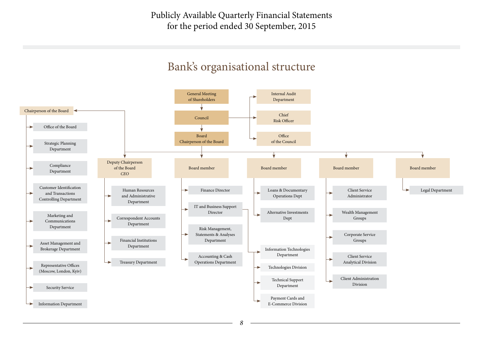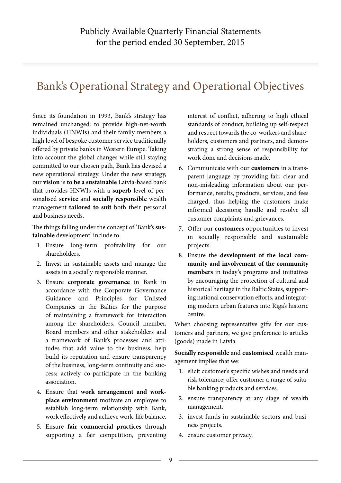### Bank's Operational Strategy and Operational Objectives

Since its foundation in 1993, Bank's strategy has remained unchanged: to provide high-net-worth individuals (HNWIs) and their family members a high level of bespoke customer service traditionally offered by private banks in Western Europe. Taking into account the global changes while still staying committed to our chosen path, Bank has devised a new operational strategy. Under the new strategy, our **vision** is **to be a sustainable** Latvia-based bank that provides HNWIs with a **superb** level of personalised **service** and **socially responsible** wealth management **tailored to suit** both their personal and business needs.

The things falling under the concept of 'Bank's **sustainable** development' include to:

- 1. Ensure long-term profitability for our shareholders.
- 2. Invest in sustainable assets and manage the assets in a socially responsible manner.
- 3. Ensure **corporate governance** in Bank in accordance with the Corporate Governance Guidance and Principles for Unlisted Companies in the Baltics for the purpose of maintaining a framework for interaction among the shareholders, Council member, Board members and other stakeholders and a framework of Bank's processes and attitudes that add value to the business, help build its reputation and ensure transparency of the business, long-term continuity and success; actively co-participate in the banking association.
- 4. Ensure that **work arrangement and workplace environment** motivate an employee to establish long-term relationship with Bank, work effectively and achieve work-life balance.
- 5. Ensure **fair commercial practices** through supporting a fair competition, preventing

interest of conflict, adhering to high ethical standards of conduct, building up self-respect and respect towards the co-workers and shareholders, customers and partners, and demonstrating a strong sense of responsibility for work done and decisions made.

- 6. Communicate with our **customers** in a transparent language by providing fair, clear and non-misleading information about our performance, results, products, services, and fees charged, thus helping the customers make informed decisions; handle and resolve all customer complaints and grievances.
- 7. Offer our **customers** opportunities to invest in socially responsible and sustainable projects.
- 8. Ensure the **development of the local community and involvement of the community members** in today's programs and initiatives by encouraging the protection of cultural and historical heritage in the Baltic States, supporting national conservation efforts, and integrating modern urban features into Riga's historic centre.

When choosing representative gifts for our customers and partners, we give preference to articles (goods) made in Latvia.

**Socially responsible** and **customised** wealth management implies that we:

- 1. elicit customer's specific wishes and needs and risk tolerance; offer customer a range of suitable banking products and services.
- 2. ensure transparency at any stage of wealth management.
- 3. invest funds in sustainable sectors and business projects.
- 4. ensure customer privacy.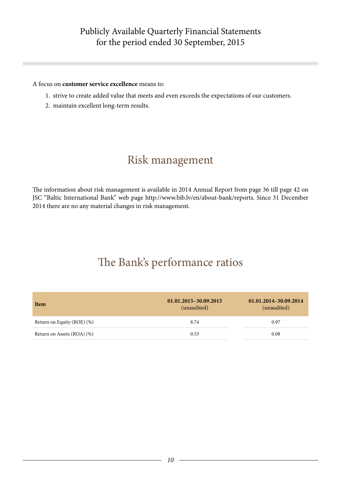#### Publicly Available Quarterly Financial Statements for the period ended 30 September, 2015

#### A focus on **customer service excellence** means to:

- 1. strive to create added value that meets and even exceeds the expectations of our customers.
- 2. maintain excellent long-term results.

### Risk management

The information about risk management is available in 2014 Annual Report from page 36 till page 42 on JSC "Baltic International Bank" web page http://www.bib.lv/en/about-bank/reports. Since 31 December 2014 there are no any material changes in risk management.

### The Bank's performance ratios

| Item                       | 01.01.2015-30.09.2015<br>(unaudited) | 01.01.2014-30.09.2014<br>(unaudited) |
|----------------------------|--------------------------------------|--------------------------------------|
| Return on Equity (ROE) (%) | 8.74                                 | 0.97                                 |
| Return on Assets (ROA) (%) | 0.53                                 | 0.08                                 |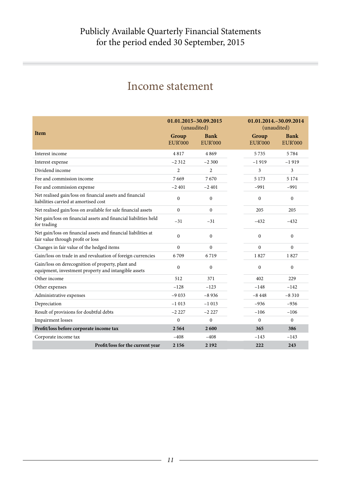| <b>Item</b>                                                                                               | 01.01.2015-30.09.2015<br>(unaudited)<br>Group<br><b>EUR'000</b> | <b>Bank</b><br><b>EUR'000</b> | 01.01.2014. - 30.09.2014<br>(unaudited)<br>Group<br><b>EUR'000</b> | <b>Bank</b><br><b>EUR'000</b> |
|-----------------------------------------------------------------------------------------------------------|-----------------------------------------------------------------|-------------------------------|--------------------------------------------------------------------|-------------------------------|
|                                                                                                           |                                                                 |                               |                                                                    |                               |
| Interest income                                                                                           | 4817                                                            | 4869                          | 5735                                                               | 5 7 8 4                       |
| Interest expense                                                                                          | $-2312$                                                         | $-2300$                       | $-1919$                                                            | $-1919$                       |
| Dividend income                                                                                           | $\overline{2}$                                                  | $\overline{2}$                | 3                                                                  | 3                             |
| Fee and commission income                                                                                 | 7669                                                            | 7670                          | 5 1 7 3                                                            | 5 1 7 4                       |
| Fee and commission expense                                                                                | $-2401$                                                         | $-2401$                       | $-991$                                                             | $-991$                        |
| Net realised gain/loss on financial assets and financial<br>liabilities carried at amortised cost         | $\mathbf{0}$                                                    | $\mathbf{0}$                  | $\mathbf{0}$                                                       | $\mathbf{0}$                  |
| Net realised gain/loss on available for sale financial assets                                             | $\theta$                                                        | $\theta$                      | 205                                                                | 205                           |
| Net gain/loss on financial assets and financial liabilities held<br>for trading                           | $-31$                                                           | $-31$                         | $-432$                                                             | $-432$                        |
| Net gain/loss on financial assets and financial liabilities at<br>fair value through profit or loss       | $\Omega$                                                        | $\mathbf{0}$                  | $\theta$                                                           | $\boldsymbol{0}$              |
| Changes in fair value of the hedged items                                                                 | $\theta$                                                        | $\theta$                      | $\theta$                                                           | $\theta$                      |
| Gain/loss on trade in and revaluation of foreign currencies                                               | 6709                                                            | 6719                          | 1827                                                               | 1827                          |
| Gain/loss on derecognition of property, plant and<br>equipment, investment property and intangible assets | $\mathbf{0}$                                                    | $\mathbf{0}$                  | $\mathbf{0}$                                                       | $\boldsymbol{0}$              |
| Other income                                                                                              | 512                                                             | 371                           | 402                                                                | 229                           |
| Other expenses                                                                                            | $-128$                                                          | $-123$                        | $-148$                                                             | $-142$                        |
| Administrative expenses                                                                                   | $-9033$                                                         | $-8936$                       | $-8448$                                                            | $-8310$                       |
| Depreciation                                                                                              | $-1013$                                                         | $-1013$                       | $-936$                                                             | $-936$                        |
| Result of provisions for doubtful debts                                                                   | $-2227$                                                         | $-2227$                       | $-106$                                                             | $-106$                        |
| <b>Impairment</b> losses                                                                                  | $\mathbf{0}$                                                    | $\theta$                      | $\theta$                                                           | $\theta$                      |
| Profit/loss before corporate income tax                                                                   | 2564                                                            | 2600                          | 365                                                                | 386                           |
| Corporate income tax                                                                                      | $-408$                                                          | $-408$                        | $-143$                                                             | $-143$                        |
| Profit/loss for the current year                                                                          | 2 1 5 6                                                         | 2 1 9 2                       | 222                                                                | 243                           |

### Income statement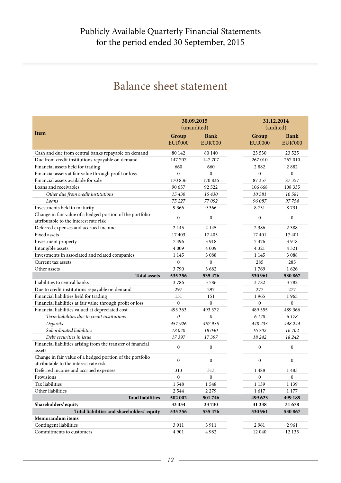### Balance sheet statement

|                                                                                                     |                         | 30.09.2015                    | 31.12.2014              |                               |
|-----------------------------------------------------------------------------------------------------|-------------------------|-------------------------------|-------------------------|-------------------------------|
|                                                                                                     | (unaudited)             |                               | (audited)               |                               |
| Item                                                                                                | Group<br><b>EUR'000</b> | <b>Bank</b><br><b>EUR'000</b> | Group<br><b>EUR'000</b> | <b>Bank</b><br><b>EUR'000</b> |
| Cash and due from central banks repayable on demand                                                 | 80 142                  | 80 140                        | 23 530                  | 23 5 25                       |
| Due from credit institutions repayable on demand                                                    | 147 707                 | 147 707                       | 267 010                 | 267 010                       |
| Financial assets held for trading                                                                   | 660                     | 660                           | 2882                    | 2882                          |
| Financial assets at fair value through profit or loss                                               | $\mathbf{0}$            | $\mathbf{0}$                  | $\boldsymbol{0}$        | $\boldsymbol{0}$              |
| Financial assets available for sale                                                                 | 170 836                 | 170 836                       | 87 357                  | 87 357                        |
| Loans and receivables                                                                               | 90 657                  | 92 522                        | 106 668                 | 108 335                       |
| Other due from credit institutions                                                                  | 15 430                  | 15 430                        | 10 581                  | 10581                         |
| Loans                                                                                               | 75 227                  | 77092                         | 96 087                  | 97754                         |
| Investments held to maturity                                                                        | 9 3 6 6                 | 9 3 6 6                       | 8731                    | 8731                          |
| Change in fair value of a hedged portion of the portfolio<br>attributable to the interest rate risk | $\mathbf{0}$            | $\boldsymbol{0}$              | $\boldsymbol{0}$        | $\boldsymbol{0}$              |
| Deferred expenses and accrued income                                                                | 2 1 4 5                 | 2 1 4 5                       | 2 3 8 6                 | 2 3 8 8                       |
| Fixed assets                                                                                        | 17 403                  | 17403                         | 17401                   | 17401                         |
| Investment property                                                                                 | 7496                    | 3918                          | 7476                    | 3918                          |
| Intangible assets                                                                                   | 4 0 0 9                 | 4 0 0 9                       | 4 3 2 1                 | 4 3 2 1                       |
| Investments in associated and related companies                                                     | 1 1 4 5                 | 3 0 8 8                       | 1 1 4 5                 | 3 0 8 8                       |
| Current tax assets                                                                                  | $\mathbf{0}$            | $\boldsymbol{0}$              | 285                     | 285                           |
| Other assets                                                                                        | 3790                    | 3682                          | 1769                    | 1626                          |
| <b>Total assets</b>                                                                                 | 535 356                 | 535 476                       | 530 961                 | 530 867                       |
| Liabilities to central banks                                                                        | 3786                    | 3786                          | 3782                    | 3782                          |
| Due to credit institutions repayable on demand                                                      | 297                     | 297                           | 277                     | 277                           |
| Financial liabilities held for trading                                                              | 151                     | 151                           | 1965                    | 1965                          |
| Financial liabilities at fair value through profit or loss                                          | $\Omega$                | $\mathbf{0}$                  | $\boldsymbol{0}$        | $\boldsymbol{0}$              |
| Financial liabilities valued at depreciated cost                                                    | 493 363                 | 493 372                       | 489 355                 | 489 366                       |
| Term liabilities due to credit institutions                                                         | 0                       | 0                             | 6178                    | 6 1 7 8                       |
| Deposits                                                                                            | 457926                  | 457 935                       | 448 233                 | 448 244                       |
| Subordinated liabilities                                                                            | 18 040                  | 18 040                        | 16702                   | 16702                         |
| Debt securities in issue                                                                            | 17397                   | 17397                         | 18 24 2                 | 18 24 2                       |
| Financial liabilities arising from the transfer of financial<br>assets                              | $\overline{0}$          | $\boldsymbol{0}$              | $\boldsymbol{0}$        | $\boldsymbol{0}$              |
| Change in fair value of a hedged portion of the portfolio<br>attributable to the interest rate risk | $\mathbf{0}$            | $\boldsymbol{0}$              | $\boldsymbol{0}$        | $\mathbf{0}$                  |
| Deferred income and accrued expenses                                                                | 313                     | 313                           | 1488                    | 1483                          |
| Provisions                                                                                          | $\boldsymbol{0}$        | $\boldsymbol{0}$              | $\boldsymbol{0}$        | $\boldsymbol{0}$              |
| Tax liabilities                                                                                     | 1548                    | 1548                          | 1 1 3 9                 | 1 1 3 9                       |
| Other liabilities                                                                                   | 2 5 4 4                 | 2 2 7 9                       | $1\;617$                | $1\;177$                      |
| <b>Total liabilities</b>                                                                            | 502 002                 | 501 746                       | 499 623                 | 499 189                       |
| Shareholders' equity                                                                                | 33 354                  | 33730                         | 31 338                  | 31 678                        |
| Total liabilities and shareholders' equity                                                          | 535 356                 | 535 476                       | 530 961                 | 530 867                       |
| Memorandum items                                                                                    |                         |                               |                         |                               |
| Contingent liabilities                                                                              | 3 9 1 1                 | 3911                          | 2961                    | 2961                          |
| Commitments to customers                                                                            | 4 9 0 1                 | 4982                          | 12 040                  | 12 135                        |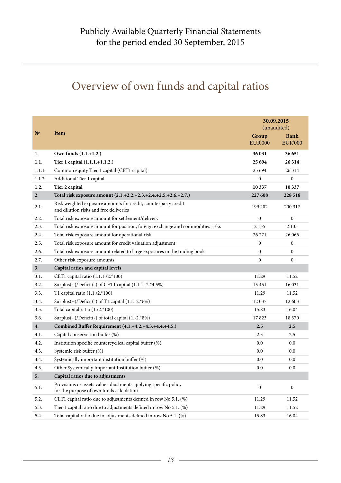### Overview of own funds and capital ratios

|                |                                                                                                             |                         | 30.09.2015<br>(unaudited)     |  |  |
|----------------|-------------------------------------------------------------------------------------------------------------|-------------------------|-------------------------------|--|--|
| N <sup>2</sup> | <b>Item</b>                                                                                                 | Group<br><b>EUR'000</b> | <b>Bank</b><br><b>EUR'000</b> |  |  |
| 1.             | Own funds (1.1.+1.2.)                                                                                       | 36 031                  | 36 651                        |  |  |
| 1.1.           | Tier 1 capital (1.1.1.+1.1.2.)                                                                              | 25 6 94                 | 26 3 14                       |  |  |
| 1.1.1.         | Common equity Tier 1 capital (CET1 capital)                                                                 | 25 694                  | 26 3 14                       |  |  |
| 1.1.2.         | Additional Tier 1 capital                                                                                   | 0                       | 0                             |  |  |
| 1.2.           | Tier 2 capital                                                                                              | 10 3 3 7                | 10 3 37                       |  |  |
| 2.             | Total risk exposure amount (2.1.+2.2.+2.3.+2.4.+2.5.+2.6.+2.7.)                                             | 227 608                 | 228 518                       |  |  |
| 2.1.           | Risk weighted exposure amounts for credit, counterparty credit<br>and dilution risks and free deliveries    | 199 202                 | 200 317                       |  |  |
| 2.2.           | Total risk exposure amount for settlement/delivery                                                          | $\mathbf{0}$            | $\mathbf{0}$                  |  |  |
| 2.3.           | Total risk exposure amount for position, foreign exchange and commodities risks                             | 2 1 3 5                 | 2 1 3 5                       |  |  |
| 2.4.           | Total risk exposure amount for operational risk                                                             | 26 27 1                 | 26 06 6                       |  |  |
| 2.5.           | Total risk exposure amount for credit valuation adjustment                                                  | $\mathbf{0}$            | 0                             |  |  |
| 2.6.           | Total risk exposure amount related to large exposures in the trading book                                   | $\mathbf{0}$            | 0                             |  |  |
| 2.7.           | Other risk exposure amounts                                                                                 | $\theta$                | $\mathbf{0}$                  |  |  |
| 3.             | Capital ratios and capital levels                                                                           |                         |                               |  |  |
| 3.1.           | CET1 capital ratio (1.1.1./2.*100)                                                                          | 11.29                   | 11.52                         |  |  |
| 3.2.           | Surplus(+)/Deficit(-) of CET1 capital (1.1.1.-2.*4.5%)                                                      | 15451                   | 16 03 1                       |  |  |
| 3.3.           | T1 capital ratio (1.1./2.*100)                                                                              | 11.29                   | 11.52                         |  |  |
| 3.4.           | Surplus $(+)/$ Deficit $(-)$ of T1 capital $(1.1.-2.*6%)$                                                   | 12 037                  | 12 603                        |  |  |
| 3.5.           | Total capital ratio (1./2.*100)                                                                             | 15.83                   | 16.04                         |  |  |
| 3.6.           | Surplus(+)/Deficit(-) of total capital (1.-2.*8%)                                                           | 17823                   | 18 370                        |  |  |
| 4.             | Combined Buffer Requirement (4.1.+4.2.+4.3.+4.4.+4.5.)                                                      | 2.5                     | 2.5                           |  |  |
| 4.1.           | Capital conservation buffer (%)                                                                             | 2.5                     | 2.5                           |  |  |
| 4.2.           | Institution specific countercyclical capital buffer (%)                                                     | 0.0                     | 0.0                           |  |  |
| 4.3.           | Systemic risk buffer (%)                                                                                    | 0.0                     | 0.0                           |  |  |
| 4.4.           | Systemically important institution buffer (%)                                                               | 0.0                     | 0.0                           |  |  |
| 4.5.           | Other Systemically Important Institution buffer (%)                                                         | 0.0                     | 0.0                           |  |  |
| 5.             | Capital ratios due to adjustments                                                                           |                         |                               |  |  |
| 5.1.           | Provisions or assets value adjustments applying specific policy<br>for the purpose of own funds calculation | $\boldsymbol{0}$        | $\boldsymbol{0}$              |  |  |
| 5.2.           | CET1 capital ratio due to adjustments defined in row No 5.1. (%)                                            | 11.29                   | 11.52                         |  |  |
| 5.3.           | Tier 1 capital ratio due to adjustments defined in row No 5.1. (%)                                          | 11.29                   | 11.52                         |  |  |
| 5.4.           | Total capital ratio due to adjustments defined in row No 5.1. (%)                                           | 15.83                   | 16.04                         |  |  |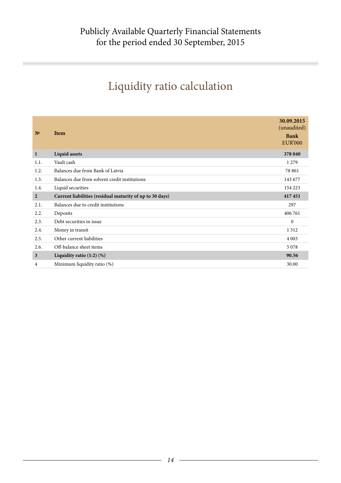## Liquidity ratio calculation

| N <sup>2</sup>          | <b>Item</b>                                              | 30.09.2015<br>(unaudited)<br><b>Bank</b><br><b>EUR'000</b> |
|-------------------------|----------------------------------------------------------|------------------------------------------------------------|
| $\mathbf{1}$            | <b>Liquid assets</b>                                     | 378 040                                                    |
| 1.1.                    | Vault cash                                               | 1 2 7 9                                                    |
| 1.2.                    | Balances due from Bank of Latvia                         | 78 861                                                     |
| 1.3.                    | Balances due from solvent credit institutions            | 143 677                                                    |
| 1.4.                    | Liquid securities                                        | 154 223                                                    |
| $\overline{2}$          | Current liabilities (residual maturity of up to 30 days) | 417451                                                     |
| 2.1.                    | Balances due to credit institutions                      | 297                                                        |
| 2.2.                    | Deposits                                                 | 406 761                                                    |
| 2.3.                    | Debt securities in issue                                 | $\theta$                                                   |
| 2.4.                    | Money in transit                                         | 1 3 1 2                                                    |
| 2.5.                    | Other current liabilities                                | 4 0 0 3                                                    |
| 2.6.                    | Off-balance sheet items                                  | 5078                                                       |
| $\overline{\mathbf{3}}$ | Liquidity ratio $(1:2)$ $(\%)$                           | 90.56                                                      |
| 4                       | Minimum liquidity ratio (%)                              | 30.00                                                      |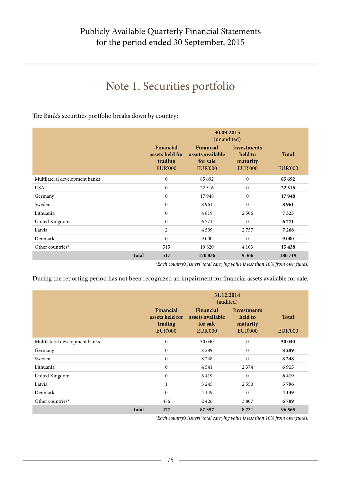### Note 1. Securities portfolio

The Bank's securities portfolio breaks down by country:

|                                |       | 30.09.2015<br>(unaudited)                                 |                                                             |                                                             |                                |
|--------------------------------|-------|-----------------------------------------------------------|-------------------------------------------------------------|-------------------------------------------------------------|--------------------------------|
|                                |       | Financial<br>assets held for<br>trading<br><b>EUR'000</b> | Financial<br>assets available<br>for sale<br><b>EUR'000</b> | <b>Investments</b><br>held to<br>maturity<br><b>EUR'000</b> | <b>Total</b><br><b>EUR'000</b> |
| Multilateral development banks |       | $\mathbf{0}$                                              | 85 692                                                      | $\mathbf{0}$                                                | 85 692                         |
| <b>USA</b>                     |       | $\mathbf{0}$                                              | 22 3 16                                                     | $\mathbf{0}$                                                | 22 3 16                        |
| Germany                        |       | $\mathbf{0}$                                              | 17948                                                       | $\boldsymbol{0}$                                            | 17948                          |
| Sweden                         |       | $\mathbf{0}$                                              | 8 9 6 1                                                     | $\mathbf{0}$                                                | 8961                           |
| Lithuania                      |       | $\mathbf{0}$                                              | 4819                                                        | 2 5 0 6                                                     | 7325                           |
| United Kingdom                 |       | $\mathbf{0}$                                              | 6 7 7 1                                                     | $\mathbf{0}$                                                | 6771                           |
| Latvia                         |       | 2                                                         | 4 5 0 9                                                     | 2757                                                        | 7 2 6 8                        |
| Denmark                        |       | $\mathbf{0}$                                              | 9 0 0 0                                                     | $\mathbf{0}$                                                | 9 0 0 0                        |
| Other countries*               |       | 515                                                       | 10 8 20                                                     | 4 1 0 3                                                     | 15438                          |
|                                | total | 517                                                       | 170 836                                                     | 9366                                                        | 180719                         |

*\*Each country's issuers' total carrying value is less than 10% from own funds.*

During the reporting period has not been recognized an impairment for financial assets available for sale.

|                                |       | 31.12.2014<br>(audited)                                   |                                                             |                                                             |                                |
|--------------------------------|-------|-----------------------------------------------------------|-------------------------------------------------------------|-------------------------------------------------------------|--------------------------------|
|                                |       | Financial<br>assets held for<br>trading<br><b>EUR'000</b> | Financial<br>assets available<br>for sale<br><b>EUR'000</b> | <b>Investments</b><br>held to<br>maturity<br><b>EUR'000</b> | <b>Total</b><br><b>EUR'000</b> |
| Multilateral development banks |       | $\mathbf{0}$                                              | 50 040                                                      | $\mathbf{0}$                                                | 50 040                         |
| Germany                        |       | $\mathbf{0}$                                              | 8 2 8 9                                                     | $\mathbf{0}$                                                | 8 2 8 9                        |
| Sweden                         |       | $\mathbf{0}$                                              | 8 2 4 8                                                     | $\mathbf{0}$                                                | 8 2 4 8                        |
| Lithuania                      |       | $\mathbf{0}$                                              | 4 5 4 1                                                     | 2 3 7 4                                                     | 6915                           |
| United Kingdom                 |       | $\mathbf{0}$                                              | 6419                                                        | $\mathbf{0}$                                                | 6419                           |
| Latvia                         |       | 1                                                         | 3 2 4 5                                                     | 2 5 5 0                                                     | 5796                           |
| Denmark                        |       | $\mathbf{0}$                                              | 4 1 4 9                                                     | $\theta$                                                    | 4 1 4 9                        |
| Other countries*               |       | 476                                                       | 2426                                                        | 3807                                                        | 6709                           |
|                                | total | 477                                                       | 87357                                                       | 8731                                                        | 96 565                         |

*\*Each country's issuers' total carrying value is less than 10% from own funds.*